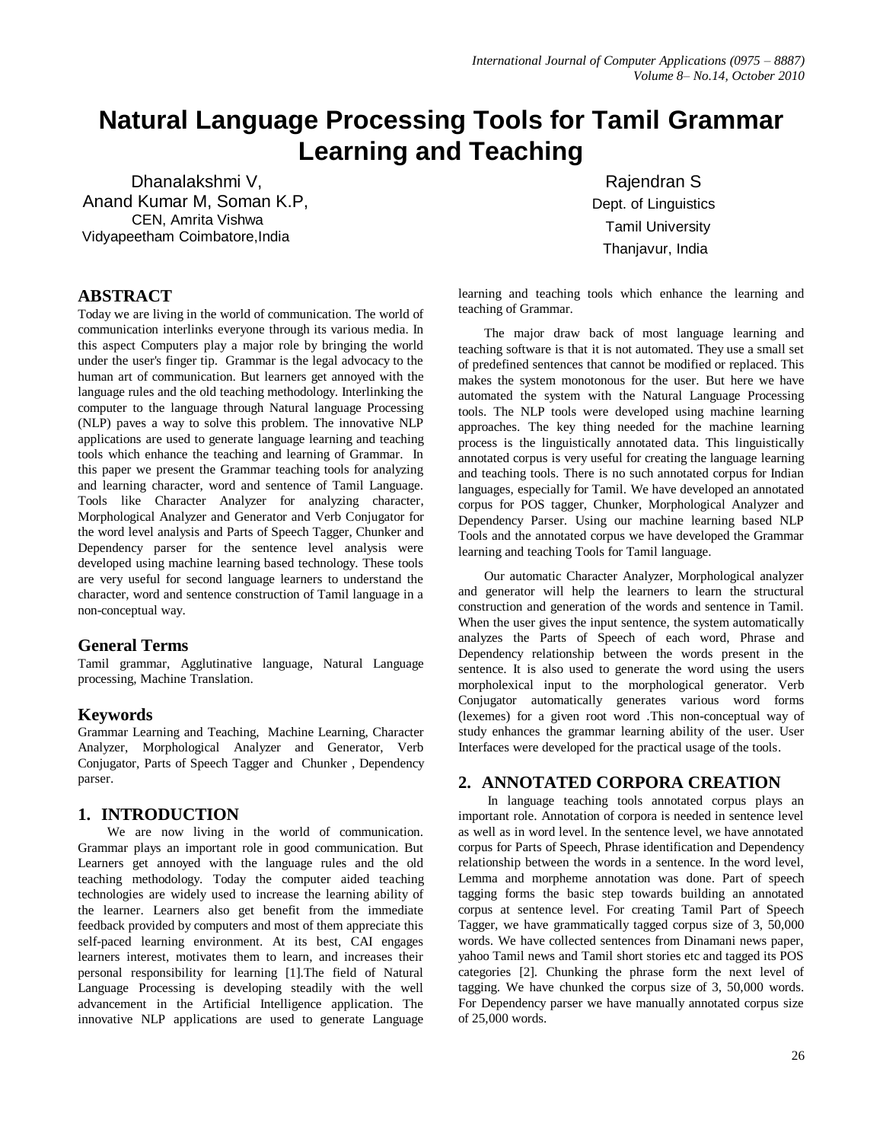# **Natural Language Processing Tools for Tamil Grammar Learning and Teaching**

 Dhanalakshmi V, Anand Kumar M, Soman K.P, CEN, Amrita Vishwa Vidyapeetham Coimbatore,India

### **ABSTRACT**

Today we are living in the world of communication. The world of communication interlinks everyone through its various media. In this aspect Computers play a major role by bringing the world under the user's finger tip. Grammar is the legal advocacy to the human art of communication. But learners get annoyed with the language rules and the old teaching methodology. Interlinking the computer to the language through Natural language Processing (NLP) paves a way to solve this problem. The innovative NLP applications are used to generate language learning and teaching tools which enhance the teaching and learning of Grammar. In this paper we present the Grammar teaching tools for analyzing and learning character, word and sentence of Tamil Language. Tools like Character Analyzer for analyzing character, Morphological Analyzer and Generator and Verb Conjugator for the word level analysis and Parts of Speech Tagger, Chunker and Dependency parser for the sentence level analysis were developed using machine learning based technology. These tools are very useful for second language learners to understand the character, word and sentence construction of Tamil language in a non-conceptual way.

#### **General Terms**

Tamil grammar, Agglutinative language, Natural Language processing, Machine Translation.

#### **Keywords**

Grammar Learning and Teaching, Machine Learning, Character Analyzer, Morphological Analyzer and Generator, Verb Conjugator, Parts of Speech Tagger and Chunker , Dependency parser.

#### **1. INTRODUCTION**

We are now living in the world of communication. Grammar plays an important role in good communication. But Learners get annoyed with the language rules and the old teaching methodology. Today the computer aided teaching technologies are widely used to increase the learning ability of the learner. Learners also get benefit from the immediate feedback provided by computers and most of them appreciate this self-paced learning environment. At its best, CAI engages learners interest, motivates them to learn, and increases their personal responsibility for learning [1].The field of Natural Language Processing is developing steadily with the well advancement in the Artificial Intelligence application. The innovative NLP applications are used to generate Language

 Rajendran S Dept. of Linguistics Tamil University Thanjavur, India

learning and teaching tools which enhance the learning and teaching of Grammar.

The major draw back of most language learning and teaching software is that it is not automated. They use a small set of predefined sentences that cannot be modified or replaced. This makes the system monotonous for the user. But here we have automated the system with the Natural Language Processing tools. The NLP tools were developed using machine learning approaches. The key thing needed for the machine learning process is the linguistically annotated data. This linguistically annotated corpus is very useful for creating the language learning and teaching tools. There is no such annotated corpus for Indian languages, especially for Tamil. We have developed an annotated corpus for POS tagger, Chunker, Morphological Analyzer and Dependency Parser. Using our machine learning based NLP Tools and the annotated corpus we have developed the Grammar learning and teaching Tools for Tamil language.

Our automatic Character Analyzer, Morphological analyzer and generator will help the learners to learn the structural construction and generation of the words and sentence in Tamil. When the user gives the input sentence, the system automatically analyzes the Parts of Speech of each word, Phrase and Dependency relationship between the words present in the sentence. It is also used to generate the word using the users morpholexical input to the morphological generator. Verb Conjugator automatically generates various word forms (lexemes) for a given root word .This non-conceptual way of study enhances the grammar learning ability of the user. User Interfaces were developed for the practical usage of the tools.

#### **2. ANNOTATED CORPORA CREATION**

In language teaching tools annotated corpus plays an important role. Annotation of corpora is needed in sentence level as well as in word level. In the sentence level, we have annotated corpus for Parts of Speech, Phrase identification and Dependency relationship between the words in a sentence. In the word level, Lemma and morpheme annotation was done. Part of speech tagging forms the basic step towards building an annotated corpus at sentence level. For creating Tamil Part of Speech Tagger, we have grammatically tagged corpus size of 3, 50,000 words. We have collected sentences from Dinamani news paper, yahoo Tamil news and Tamil short stories etc and tagged its POS categories [2]. Chunking the phrase form the next level of tagging. We have chunked the corpus size of 3, 50,000 words. For Dependency parser we have manually annotated corpus size of 25,000 words.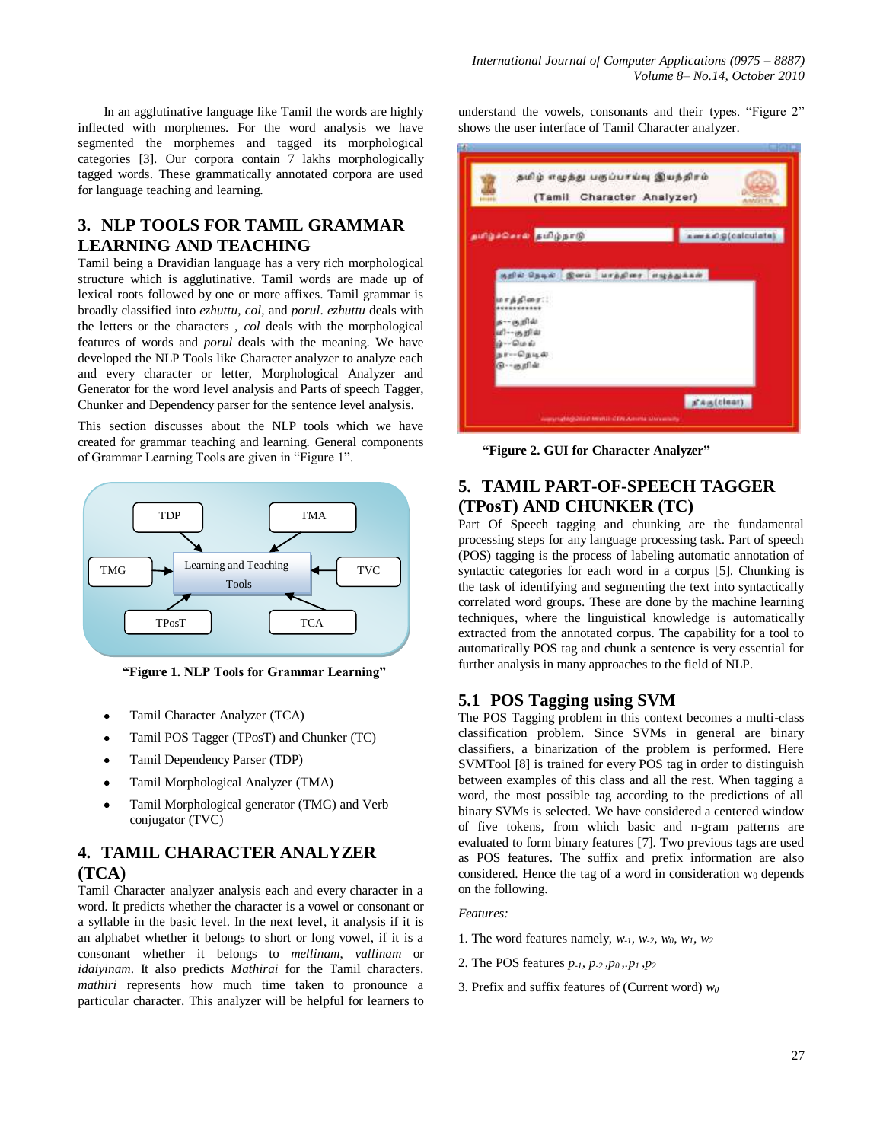In an agglutinative language like Tamil the words are highly inflected with morphemes. For the word analysis we have segmented the morphemes and tagged its morphological categories [3]. Our corpora contain 7 lakhs morphologically tagged words. These grammatically annotated corpora are used for language teaching and learning.

## **3. NLP TOOLS FOR TAMIL GRAMMAR LEARNING AND TEACHING**

Tamil being a Dravidian language has a very rich morphological structure which is agglutinative. Tamil words are made up of lexical roots followed by one or more affixes. Tamil grammar is broadly classified into *ezhuttu*, *col*, and *porul*. *ezhuttu* deals with the letters or the characters , *col* deals with the morphological features of words and *porul* deals with the meaning. We have developed the NLP Tools like Character analyzer to analyze each and every character or letter, Morphological Analyzer and Generator for the word level analysis and Parts of speech Tagger, Chunker and Dependency parser for the sentence level analysis.

This section discusses about the NLP tools which we have created for grammar teaching and learning. General components of Grammar Learning Tools are given in "Figure 1".



**"Figure 1. NLP Tools for Grammar Learning"**

- Tamil Character Analyzer (TCA)
- Tamil POS Tagger (TPosT) and Chunker (TC)
- Tamil Dependency Parser (TDP)
- Tamil Morphological Analyzer (TMA)
- Tamil Morphological generator (TMG) and Verb conjugator (TVC)

## **4. TAMIL CHARACTER ANALYZER (TCA)**

Tamil Character analyzer analysis each and every character in a word. It predicts whether the character is a vowel or consonant or a syllable in the basic level. In the next level, it analysis if it is an alphabet whether it belongs to short or long vowel, if it is a consonant whether it belongs to *mellinam*, *vallinam* or *idaiyinam*. It also predicts *Mathirai* for the Tamil characters. *mathiri* represents how much time taken to pronounce a particular character. This analyzer will be helpful for learners to understand the vowels, consonants and their types. "Figure 2" shows the user interface of Tamil Character analyzer.

| தமிழ் எழுத்து பகுப்பாய்வு இயந்திரம்<br>(Tamil Character Analyzer)                                                          |                      |
|----------------------------------------------------------------------------------------------------------------------------|----------------------|
| தயிழ்ச்செய்தி தமிழ்நாடு                                                                                                    | am & D.S (calculate) |
| நறில் நெடில் இனம் மாத்திரை எழுத்துக்கள்<br>மாத்திரை::<br>க— சூறில்<br>பி-- குறிய்<br>ம்--மெல்<br>நா--நெடில்<br>டு-- சுறில் |                      |
| conversation/drind America CEALAcremia Stansmission                                                                        | a' Aug(clear)        |

**"Figure 2. GUI for Character Analyzer"**

## **5. TAMIL PART-OF-SPEECH TAGGER (TPosT) AND CHUNKER (TC)**

Part Of Speech tagging and chunking are the fundamental processing steps for any language processing task. Part of speech (POS) tagging is the process of labeling automatic annotation of syntactic categories for each word in a corpus [5]. Chunking is the task of identifying and segmenting the text into syntactically correlated word groups. These are done by the machine learning techniques, where the linguistical knowledge is automatically extracted from the annotated corpus. The capability for a tool to automatically POS tag and chunk a sentence is very essential for further analysis in many approaches to the field of NLP.

#### **5.1 POS Tagging using SVM**

The POS Tagging problem in this context becomes a multi-class classification problem. Since SVMs in general are binary classifiers, a binarization of the problem is performed. Here SVMTool [8] is trained for every POS tag in order to distinguish between examples of this class and all the rest. When tagging a word, the most possible tag according to the predictions of all binary SVMs is selected. We have considered a centered window of five tokens, from which basic and n-gram patterns are evaluated to form binary features [7]. Two previous tags are used as POS features. The suffix and prefix information are also considered. Hence the tag of a word in consideration  $w_0$  depends on the following.

#### *Features:*

- 1. The word features namely, *w-1, w-2, w0, w1, w<sup>2</sup>*
- 2. The POS features *p-1, p-2 ,p<sup>0</sup> ,.p<sup>1</sup> ,p<sup>2</sup>*
- 3. Prefix and suffix features of (Current word) *w<sup>0</sup>*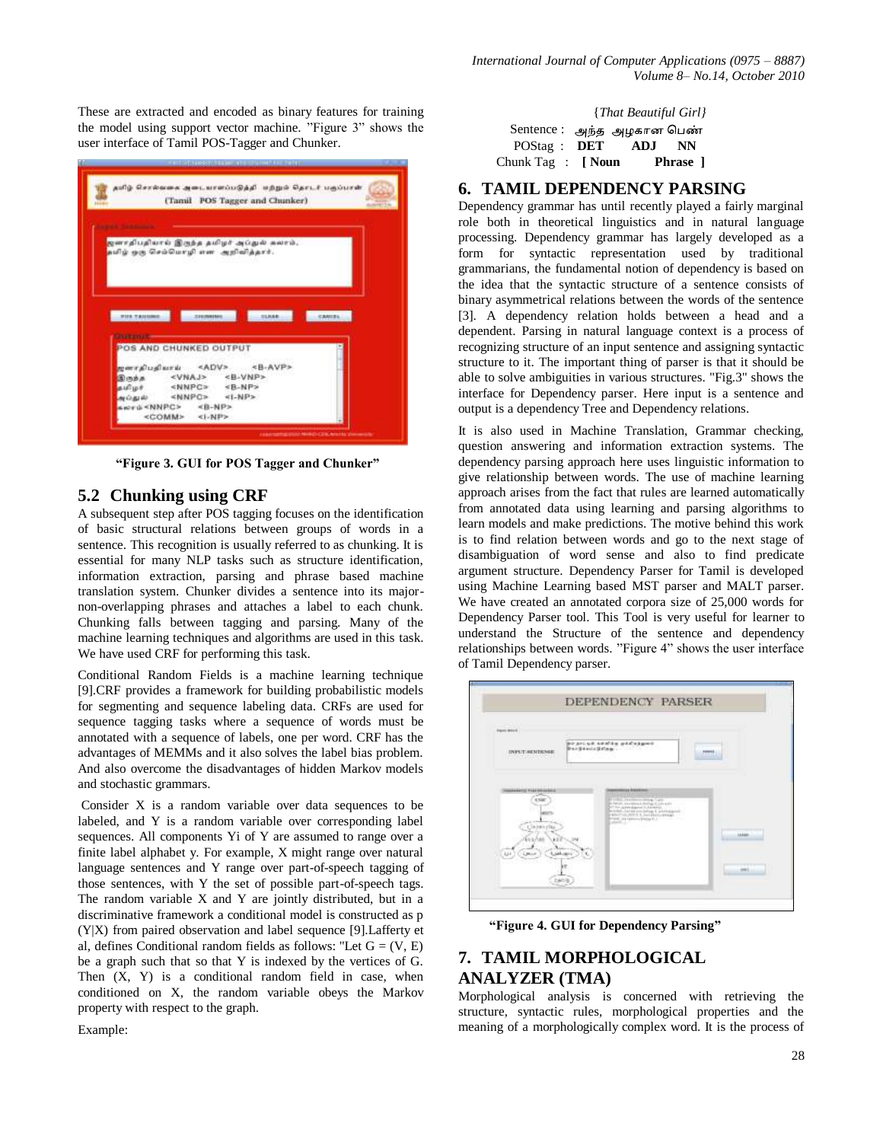These are extracted and encoded as binary features for training the model using support vector machine. "Figure 3" shows the user interface of Tamil POS-Tagger and Chunker.

|                     | தமிழ் சொல்லகை அடையாளப்படுத்தி. மற்றும் தொடர் பகுப்பாள். |                                |         |  |
|---------------------|---------------------------------------------------------|--------------------------------|---------|--|
|                     |                                                         | (Tamil POS Tagger and Chunker) |         |  |
|                     |                                                         |                                |         |  |
|                     |                                                         |                                |         |  |
|                     | ஜனாதிபதியால் இருந்த தமிழர் அப்துல் சுலாம்,              |                                |         |  |
|                     | கமிழ் ஒரு செம்மொழி என அறிவித்தார்.                      |                                |         |  |
|                     |                                                         |                                |         |  |
|                     |                                                         |                                |         |  |
|                     |                                                         |                                |         |  |
|                     |                                                         |                                |         |  |
| <b>PIER TANNING</b> | <b>EXCHANGE</b>                                         | <b>STARR</b>                   | CANTEL: |  |
|                     |                                                         |                                |         |  |
|                     |                                                         |                                |         |  |
|                     | POS AND CHUNKED OUTPUT                                  |                                |         |  |
|                     | meralualara <adv> <b-avp></b-avp></adv>                 |                                |         |  |
|                     | Seás <vnaj> <b-vnp></b-vnp></vnaj>                      |                                |         |  |
|                     | aufure <nnpc> <b-np></b-np></nnpc>                      |                                |         |  |
|                     | spigal <nnpg> &lt;1-NP&gt;</nnpg>                       |                                |         |  |
|                     | swed <nnpc><b-np></b-np></nnpc>                         |                                |         |  |
|                     | <comm> <i-np></i-np></comm>                             |                                |         |  |

**"Figure 3. GUI for POS Tagger and Chunker"**

### **5.2 Chunking using CRF**

A subsequent step after POS tagging focuses on the identification of basic structural relations between groups of words in a sentence. This recognition is usually referred to as chunking. It is essential for many NLP tasks such as structure identification, information extraction, parsing and phrase based machine translation system. Chunker divides a sentence into its majornon-overlapping phrases and attaches a label to each chunk. Chunking falls between tagging and parsing. Many of the machine learning techniques and algorithms are used in this task. We have used CRF for performing this task.

Conditional Random Fields is a machine learning technique [9].CRF provides a framework for building probabilistic models for segmenting and sequence labeling data. CRFs are used for sequence tagging tasks where a sequence of words must be annotated with a sequence of labels, one per word. CRF has the advantages of MEMMs and it also solves the label bias problem. And also overcome the disadvantages of hidden Markov models and stochastic grammars.

Consider X is a random variable over data sequences to be labeled, and Y is a random variable over corresponding label sequences. All components Yi of Y are assumed to range over a finite label alphabet y. For example, X might range over natural language sentences and Y range over part-of-speech tagging of those sentences, with Y the set of possible part-of-speech tags. The random variable X and Y are jointly distributed, but in a discriminative framework a conditional model is constructed as p (Y|X) from paired observation and label sequence [9].Lafferty et al, defines Conditional random fields as follows: "Let  $G = (V, E)$ be a graph such that so that Y is indexed by the vertices of G. Then  $(X, Y)$  is a conditional random field in case, when conditioned on X, the random variable obeys the Markov property with respect to the graph.

Example:

|                               | {That Beautiful Girl}      |
|-------------------------------|----------------------------|
|                               | Sentence : அந்த அழகான பெண் |
| $POSta@:$ <b>DET</b>          | ADJ NN                     |
| Chunk Tag $\therefore$ [ Noun | <b>Phrase</b> 1            |

#### **6. TAMIL DEPENDENCY PARSING**

Dependency grammar has until recently played a fairly marginal role both in theoretical linguistics and in natural language processing. Dependency grammar has largely developed as a form for syntactic representation used by traditional grammarians, the fundamental notion of dependency is based on the idea that the syntactic structure of a sentence consists of binary asymmetrical relations between the words of the sentence [3]. A dependency relation holds between a head and a dependent. Parsing in natural language context is a process of recognizing structure of an input sentence and assigning syntactic structure to it. The important thing of parser is that it should be able to solve ambiguities in various structures. "Fig.3" shows the interface for Dependency parser. Here input is a sentence and output is a dependency Tree and Dependency relations.

It is also used in Machine Translation, Grammar checking, question answering and information extraction systems. The dependency parsing approach here uses linguistic information to give relationship between words. The use of machine learning approach arises from the fact that rules are learned automatically from annotated data using learning and parsing algorithms to learn models and make predictions. The motive behind this work is to find relation between words and go to the next stage of disambiguation of word sense and also to find predicate argument structure. Dependency Parser for Tamil is developed using Machine Learning based MST parser and MALT parser. We have created an annotated corpora size of 25,000 words for Dependency Parser tool. This Tool is very useful for learner to understand the Structure of the sentence and dependency relationships between words. "Figure 4" shows the user interface of Tamil Dependency parser.



**"Figure 4. GUI for Dependency Parsing"**

## **7. TAMIL MORPHOLOGICAL ANALYZER (TMA)**

Morphological analysis is concerned with retrieving the structure, syntactic rules, morphological properties and the meaning of a morphologically complex word. It is the process of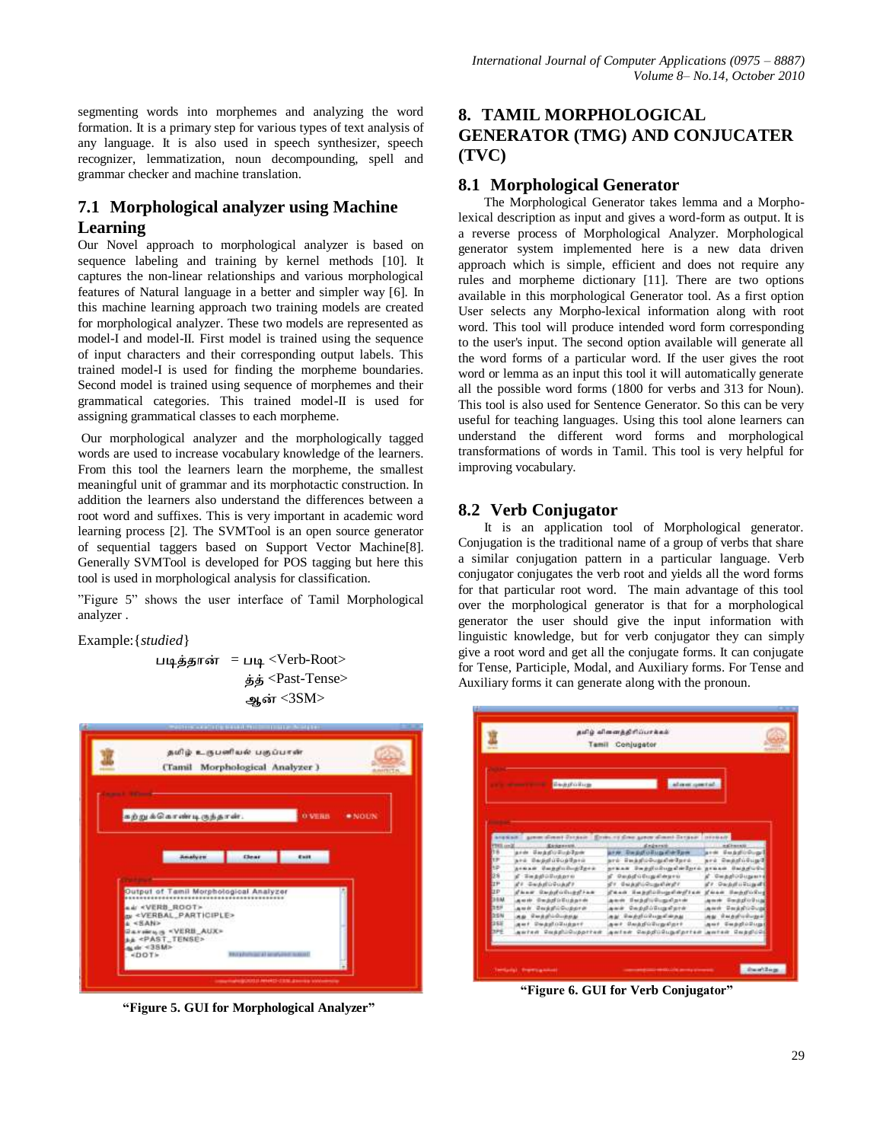segmenting words into morphemes and analyzing the word formation. It is a primary step for various types of text analysis of any language. It is also used in speech synthesizer, speech recognizer, lemmatization, noun decompounding, spell and grammar checker and machine translation.

## **7.1 Morphological analyzer using Machine Learning**

Our Novel approach to morphological analyzer is based on sequence labeling and training by kernel methods [10]. It captures the non-linear relationships and various morphological features of Natural language in a better and simpler way [6]. In this machine learning approach two training models are created for morphological analyzer. These two models are represented as model-I and model-II. First model is trained using the sequence of input characters and their corresponding output labels. This trained model-I is used for finding the morpheme boundaries. Second model is trained using sequence of morphemes and their grammatical categories. This trained model-II is used for assigning grammatical classes to each morpheme.

Our morphological analyzer and the morphologically tagged words are used to increase vocabulary knowledge of the learners. From this tool the learners learn the morpheme, the smallest meaningful unit of grammar and its morphotactic construction. In addition the learners also understand the differences between a root word and suffixes. This is very important in academic word learning process [2]. The SVMTool is an open source generator of sequential taggers based on Support Vector Machine[8]. Generally SVMTool is developed for POS tagging but here this tool is used in morphological analysis for classification.

"Figure 5" shows the user interface of Tamil Morphological analyzer .

Example:{*studied*}

படித்தான் = படி <Verb-Root> <Past-Tense> ஆன் <3SM>



**"Figure 5. GUI for Morphological Analyzer"**

## **8. TAMIL MORPHOLOGICAL GENERATOR (TMG) AND CONJUCATER (TVC)**

## **8.1 Morphological Generator**

The Morphological Generator takes lemma and a Morpholexical description as input and gives a word-form as output. It is a reverse process of Morphological Analyzer. Morphological generator system implemented here is a new data driven approach which is simple, efficient and does not require any rules and morpheme dictionary [11]. There are two options available in this morphological Generator tool. As a first option User selects any Morpho-lexical information along with root word. This tool will produce intended word form corresponding to the user's input. The second option available will generate all the word forms of a particular word. If the user gives the root word or lemma as an input this tool it will automatically generate all the possible word forms (1800 for verbs and 313 for Noun). This tool is also used for Sentence Generator. So this can be very useful for teaching languages. Using this tool alone learners can understand the different word forms and morphological transformations of words in Tamil. This tool is very helpful for improving vocabulary.

## **8.2 Verb Conjugator**

It is an application tool of Morphological generator. Conjugation is the traditional name of a group of verbs that share a similar conjugation pattern in a particular language. Verb conjugator conjugates the verb root and yields all the word forms for that particular root word. The main advantage of this tool over the morphological generator is that for a morphological generator the user should give the input information with linguistic knowledge, but for verb conjugator they can simply give a root word and get all the conjugate forms. It can conjugate for Tense, Participle, Modal, and Auxiliary forms. For Tense and Auxiliary forms it can generate along with the pronoun.

|                              |                               | Tamil Conjugator                                                                         |                            |
|------------------------------|-------------------------------|------------------------------------------------------------------------------------------|----------------------------|
|                              | BeautoSige                    | staucowid.                                                                               |                            |
|                              |                               |                                                                                          |                            |
| <b>FREE</b> and M.           | Externess.                    | are stait." grow sheet Dreams: \$2100, 12 then generalment Despair. Investor<br>delaret. |                            |
|                              |                               |                                                                                          |                            |
| (tit                         | ards darksfolled-face         | arm Dagdichus Cather                                                                     | ank Feasternet             |
| <b>IF</b>                    | ard Beddification             | aré ingkalékunalan laré                                                                  | sed Seathings I            |
| 4g)                          | assam depositoritase          | praak Depplodupstelpro praak dapport.                                                    |                            |
|                              | all - Wan grad in Mandage and | நிலைத்திப்பெறுகின்றால்                                                                   | af Glenghaft Officegamente |
| 28<br><b>TP</b>              | a'r Geduluguarr               | திர <b>்பெற்றிப்பெறுகின்றி</b> ர                                                         | a'r Gwaaliskiisaaft        |
|                              | dear Generations Com          | fees legislopedayies                                                                     | Food Bearings              |
| <b>BP</b><br><b>DEM</b>      | அவன் வெற்றிப்பெற்றாள்.        | and Indelificated                                                                        | and Seatherne              |
| <b>TERM</b>                  | தயம் வெற்றிப்பெற்றாள்         | தகம் கெற்றிப்பெறுகிறால்                                                                  | awk Registribuse           |
|                              | அதி வெற்றிப்பெற்றது.          | தம் வெற்றிப்பெறுகின்றது.                                                                 | கூடி பெற்றியரியதும்!       |
| DISIN<br><b>EDSIG</b><br>386 | ast DealerSchef               | ast Suadvillegalert.                                                                     | ant SuppleSings            |

**"Figure 6. GUI for Verb Conjugator"**